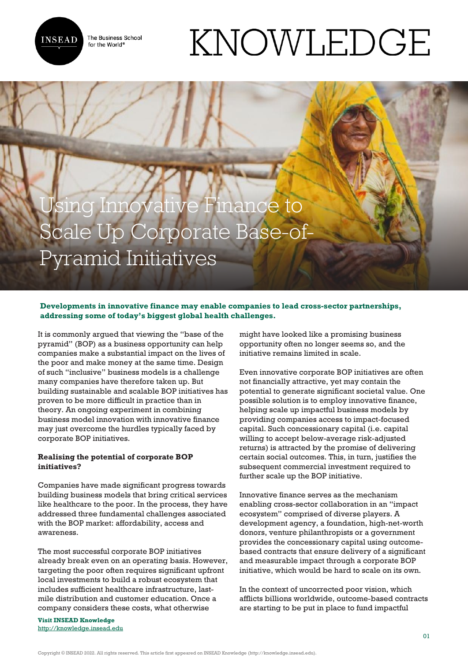**INSEAD** 

The Business School for the World<sup>®</sup>

# KNOWLEDGE

# Jsing Innovative Finance to Scale Up Corporate Base-of-Pyramid Initiatives

## **Developments in innovative finance may enable companies to lead cross-sector partnerships, addressing some of today's biggest global health challenges.**

It is commonly argued that viewing the "base of the pyramid" (BOP) as a business opportunity can help companies make a substantial impact on the lives of the poor and make money at the same time. Design of such "inclusive" business models is a challenge many companies have therefore taken up. But building sustainable and scalable BOP initiatives has proven to be more difficult in practice than in theory. An ongoing experiment in combining business model innovation with innovative finance may just overcome the hurdles typically faced by corporate BOP initiatives.

#### **Realising the potential of corporate BOP initiatives?**

Companies have made significant progress towards building business models that bring critical services like healthcare to the poor. In the process, they have addressed three fundamental challenges associated with the BOP market: affordability, access and awareness.

The most successful corporate BOP initiatives already break even on an operating basis. However, targeting the poor often requires significant upfront local investments to build a robust ecosystem that includes sufficient healthcare infrastructure, lastmile distribution and customer education. Once a company considers these costs, what otherwise

**Visit INSEAD Knowledge** <http://knowledge.insead.edu>

might have looked like a promising business opportunity often no longer seems so, and the initiative remains limited in scale.

Even innovative corporate BOP initiatives are often not financially attractive, yet may contain the potential to generate significant societal value. One possible solution is to employ innovative finance, helping scale up impactful business models by providing companies access to impact-focused capital. Such concessionary capital (i.e. capital willing to accept below-average risk-adjusted returns) is attracted by the promise of delivering certain social outcomes. This, in turn, justifies the subsequent commercial investment required to further scale up the BOP initiative.

Innovative finance serves as the mechanism enabling cross-sector collaboration in an "impact ecosystem" comprised of diverse players. A development agency, a foundation, high-net-worth donors, venture philanthropists or a government provides the concessionary capital using outcomebased contracts that ensure delivery of a significant and measurable impact through a corporate BOP initiative, which would be hard to scale on its own.

In the context of uncorrected poor vision, which afflicts billions worldwide, outcome-based contracts are starting to be put in place to fund impactful

Copyright © INSEAD 2022. All rights reserved. This article first appeared on INSEAD Knowledge (http://knowledge.insead.edu).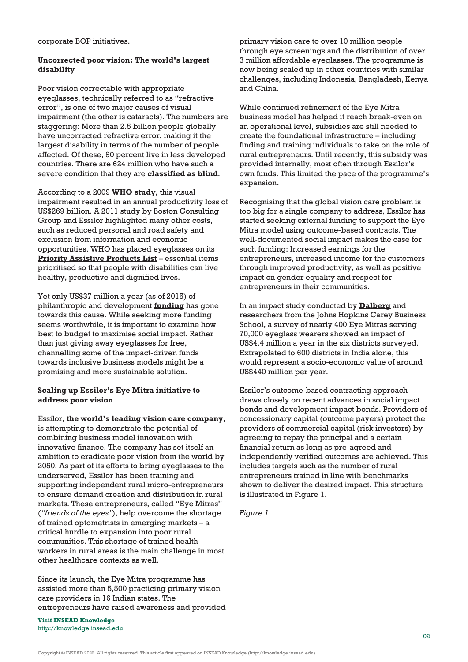corporate BOP initiatives.

#### **Uncorrected poor vision: The world's largest disability**

Poor vision correctable with appropriate eyeglasses, technically referred to as "refractive error", is one of two major causes of visual impairment (the other is cataracts). The numbers are staggering: More than 2.5 billion people globally have uncorrected refractive error, making it the largest disability in terms of the number of people affected. Of these, 90 percent live in less developed countries. There are 624 million who have such a severe condition that they are **[classified as blind](http://www3.weforum.org/docs/WEF_2016_EYElliance.pdf)**.

According to a 2009 **[WHO study](https://www.who.int/bulletin/volumes/90/10/12-104034/en/)**, this visual impairment resulted in an annual productivity loss of US\$269 billion. A 2011 study by Boston Consulting Group and Essilor highlighted many other costs, such as reduced personal and road safety and exclusion from information and economic opportunities. WHO has placed eyeglasses on its **[Priority Assistive Products List](http://www.who.int/phi/implementation/assistive_technology/global_survey-apl/en/)** – essential items prioritised so that people with disabilities can live healthy, productive and dignified lives.

Yet only US\$37 million a year (as of 2015) of philanthropic and development **[funding](http://www.oecd.org/development/stats/37461859.pdf)** has gone towards this cause. While seeking more funding seems worthwhile, it is important to examine how best to budget to maximise social impact. Rather than just giving away eyeglasses for free, channelling some of the impact-driven funds towards inclusive business models might be a promising and more sustainable solution.

#### **Scaling up Essilor's Eye Mitra initiative to address poor vision**

Essilor, **[the world's leading vision care company](https://knowledge.insead.edu/strategy/converting-social-impact-into-competitive-advantage-5105)**,

is attempting to demonstrate the potential of combining business model innovation with innovative finance. The company has set itself an ambition to eradicate poor vision from the world by 2050. As part of its efforts to bring eyeglasses to the underserved, Essilor has been training and supporting independent rural micro-entrepreneurs to ensure demand creation and distribution in rural markets. These entrepreneurs, called "Eye Mitras" (*"friends of the eyes"*), help overcome the shortage of trained optometrists in emerging markets – a critical hurdle to expansion into poor rural communities. This shortage of trained health workers in rural areas is the main challenge in most other healthcare contexts as well.

Since its launch, the Eye Mitra programme has assisted more than 5,500 practicing primary vision care providers in 16 Indian states. The entrepreneurs have raised awareness and provided

**Visit INSEAD Knowledge** http://knowledge.insead.edu primary vision care to over 10 million people through eye screenings and the distribution of over 3 million affordable eyeglasses. The programme is now being scaled up in other countries with similar challenges, including Indonesia, Bangladesh, Kenya and China.

While continued refinement of the Eye Mitra business model has helped it reach break-even on an operational level, subsidies are still needed to create the foundational infrastructure – including finding and training individuals to take on the role of rural entrepreneurs. Until recently, this subsidy was provided internally, most often through Essilor's own funds. This limited the pace of the programme's expansion.

Recognising that the global vision care problem is too big for a single company to address, Essilor has started seeking external funding to support the Eye Mitra model using outcome-based contracts. The well-documented social impact makes the case for such funding: Increased earnings for the entrepreneurs, increased income for the customers through improved productivity, as well as positive impact on gender equality and respect for entrepreneurs in their communities.

In an impact study conducted by **[Dalberg](https://www.dalberg.com/)** and researchers from the Johns Hopkins Carey Business School, a survey of nearly 400 Eye Mitras serving 70,000 eyeglass wearers showed an impact of US\$4.4 million a year in the six districts surveyed. Extrapolated to 600 districts in India alone, this would represent a socio-economic value of around US\$440 million per year.

Essilor's outcome-based contracting approach draws closely on recent advances in social impact bonds and development impact bonds. Providers of concessionary capital (outcome payers) protect the providers of commercial capital (risk investors) by agreeing to repay the principal and a certain financial return as long as pre-agreed and independently verified outcomes are achieved. This includes targets such as the number of rural entrepreneurs trained in line with benchmarks shown to deliver the desired impact. This structure is illustrated in Figure 1.

*Figure 1*

Copyright © INSEAD 2022. All rights reserved. This article first appeared on INSEAD Knowledge (http://knowledge.insead.edu).